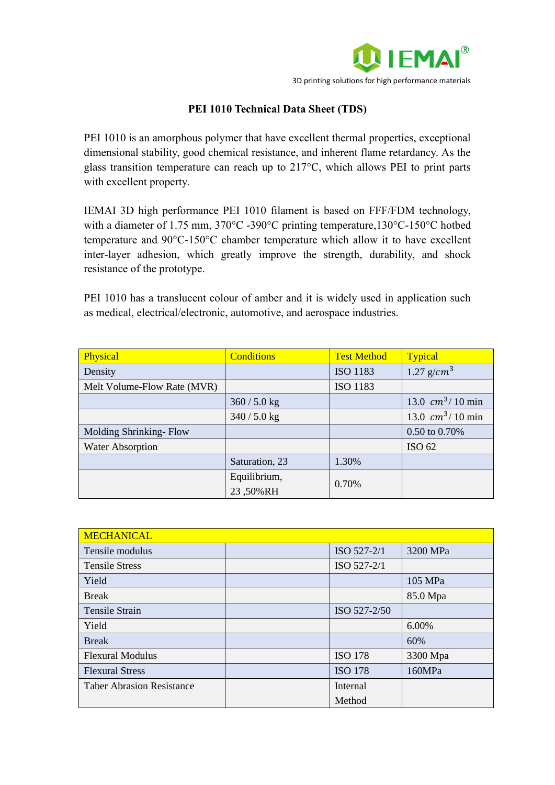

## **PEI 1010 Technical Data Sheet (TDS)**

PEI 1010 is an amorphous polymer that have excellent thermal properties, exceptional dimensional stability, good chemical resistance, and inherent flame retardancy. As the glass transition temperature can reach up to 217°C, which allows PEI to print parts with excellent property.

IEMAI 3D high performance PEI 1010 filament is based on FFF/FDM technology, with a diameter of 1.75 mm, 370°C -390°C printing temperature, 130°C-150°C hotbed temperature and 90°C-150°C chamber temperature which allow it to have excellent inter-layer adhesion, which greatly improve the strength, durability, and shock resistance of the prototype.

PEI 1010 has a translucent colour of amber and it is widely used in application such as medical, electrical/electronic, automotive, and aerospace industries.

| Physical                    | <b>Conditions</b> | <b>Test Method</b> | <b>Typical</b>     |
|-----------------------------|-------------------|--------------------|--------------------|
| Density                     |                   | <b>ISO 1183</b>    | 1.27 $g/cm^3$      |
| Melt Volume-Flow Rate (MVR) |                   | ISO 1183           |                    |
|                             | $360 / 5.0$ kg    |                    | 13.0 $cm^3/10$ min |
|                             | $340 / 5.0$ kg    |                    | 13.0 $cm^3/10$ min |
| Molding Shrinking-Flow      |                   |                    | 0.50 to 0.70%      |
| <b>Water Absorption</b>     |                   |                    | ISO 62             |
|                             | Saturation, 23    | 1.30%              |                    |
|                             | Equilibrium,      | 0.70%              |                    |
|                             | 23,50%RH          |                    |                    |

| <b>MECHANICAL</b>                |                |          |
|----------------------------------|----------------|----------|
| Tensile modulus                  | ISO 527-2/1    | 3200 MPa |
| <b>Tensile Stress</b>            | ISO 527-2/1    |          |
| Yield                            |                | 105 MPa  |
| <b>Break</b>                     |                | 85.0 Mpa |
| <b>Tensile Strain</b>            | ISO 527-2/50   |          |
| Yield                            |                | 6.00%    |
| <b>Break</b>                     |                | 60%      |
| <b>Flexural Modulus</b>          | <b>ISO 178</b> | 3300 Mpa |
| <b>Flexural Stress</b>           | <b>ISO 178</b> | 160MPa   |
| <b>Taber Abrasion Resistance</b> | Internal       |          |
|                                  | Method         |          |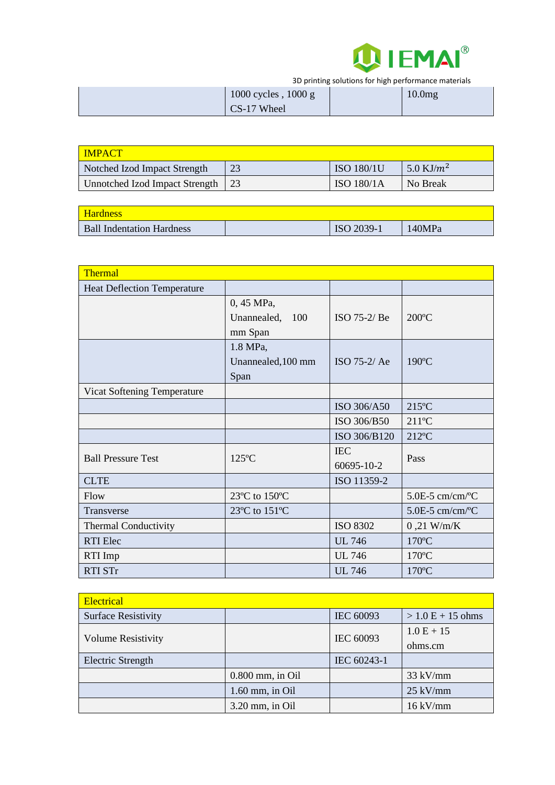

3D printing solutions for high performance materials

| 1000 cycles, $1000 g$ | 10.0 <sub>mg</sub> |
|-----------------------|--------------------|
| CS-17 Wheel           |                    |

| <b>IMPACT</b>                  |    |                   |               |
|--------------------------------|----|-------------------|---------------|
| Notched Izod Impact Strength   | 23 | <b>ISO 180/1U</b> | 5.0 KJ/ $m^2$ |
| Unnotched Izod Impact Strength |    | <b>ISO 180/1A</b> | No Break      |

| <b>Hardness</b>                  |            |        |
|----------------------------------|------------|--------|
| <b>Ball Indentation Hardness</b> | ISO 2039-1 | 140MPa |

| Thermal                            |                               |                          |                             |
|------------------------------------|-------------------------------|--------------------------|-----------------------------|
| <b>Heat Deflection Temperature</b> |                               |                          |                             |
|                                    | 0, 45 MPa,<br>Unannealed, 100 | ISO 75-2/ Be             | $200^{\circ}$ C             |
|                                    | mm Span                       |                          |                             |
|                                    | 1.8 MPa,                      |                          |                             |
|                                    | Unannealed, 100 mm            | ISO $75-2/Ae$            | $190^{\circ}$ C             |
|                                    | Span                          |                          |                             |
| Vicat Softening Temperature        |                               |                          |                             |
|                                    |                               | ISO 306/A50              | $215^{\circ}$ C             |
|                                    |                               | ISO 306/B50              | $211^{\circ}C$              |
|                                    |                               | ISO 306/B120             | $212$ °C                    |
| <b>Ball Pressure Test</b>          | $125^{\circ}$ C               | <b>IEC</b><br>60695-10-2 | Pass                        |
| <b>CLTE</b>                        |                               | ISO 11359-2              |                             |
| Flow                               | 23°C to 150°C                 |                          | $5.0E-5$ cm/cm/ $^{\circ}C$ |
| <b>Transverse</b>                  | 23°C to 151°C                 |                          | $5.0E-5$ cm/cm/ $^{\circ}C$ |
| <b>Thermal Conductivity</b>        |                               | <b>ISO 8302</b>          | $0,21$ W/m/K                |
| <b>RTI</b> Elec                    |                               | <b>UL 746</b>            | $170^{\circ}$ C             |
| RTI Imp                            |                               | <b>UL 746</b>            | $170^{\circ}$ C             |
| <b>RTI STr</b>                     |                               | <b>UL 746</b>            | $170^{\circ}$ C             |

| Electrical                 |                    |             |                     |
|----------------------------|--------------------|-------------|---------------------|
| <b>Surface Resistivity</b> |                    | IEC 60093   | $> 1.0 E + 15 ohms$ |
| <b>Volume Resistivity</b>  |                    |             | $1.0 E + 15$        |
|                            |                    | IEC 60093   | ohms.cm             |
| Electric Strength          |                    | IEC 60243-1 |                     |
|                            | $0.800$ mm, in Oil |             | $33$ kV/mm          |
|                            | $1.60$ mm, in Oil  |             | $25$ kV/mm          |
|                            | $3.20$ mm, in Oil  |             | $16$ kV/mm          |